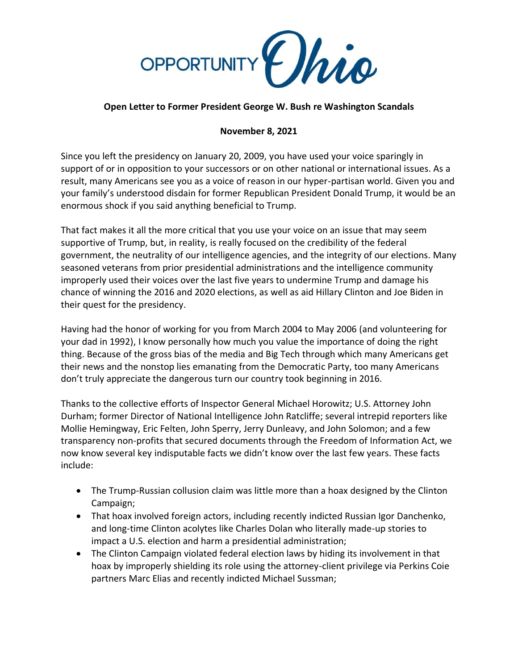

## **Open Letter to Former President George W. Bush re Washington Scandals**

## **November 8, 2021**

Since you left the presidency on January 20, 2009, you have used your voice sparingly in support of or in opposition to your successors or on other national or international issues. As a result, many Americans see you as a voice of reason in our hyper-partisan world. Given you and your family's understood disdain for former Republican President Donald Trump, it would be an enormous shock if you said anything beneficial to Trump.

That fact makes it all the more critical that you use your voice on an issue that may seem supportive of Trump, but, in reality, is really focused on the credibility of the federal government, the neutrality of our intelligence agencies, and the integrity of our elections. Many seasoned veterans from prior presidential administrations and the intelligence community improperly used their voices over the last five years to undermine Trump and damage his chance of winning the 2016 and 2020 elections, as well as aid Hillary Clinton and Joe Biden in their quest for the presidency.

Having had the honor of working for you from March 2004 to May 2006 (and volunteering for your dad in 1992), I know personally how much you value the importance of doing the right thing. Because of the gross bias of the media and Big Tech through which many Americans get their news and the nonstop lies emanating from the Democratic Party, too many Americans don't truly appreciate the dangerous turn our country took beginning in 2016.

Thanks to the collective efforts of Inspector General Michael Horowitz; U.S. Attorney John Durham; former Director of National Intelligence John Ratcliffe; several intrepid reporters like Mollie Hemingway, Eric Felten, John Sperry, Jerry Dunleavy, and John Solomon; and a few transparency non-profits that secured documents through the Freedom of Information Act, we now know several key indisputable facts we didn't know over the last few years. These facts include:

- The Trump-Russian collusion claim was little more than a hoax designed by the Clinton Campaign;
- That hoax involved foreign actors, including recently indicted Russian Igor Danchenko, and long-time Clinton acolytes like Charles Dolan who literally made-up stories to impact a U.S. election and harm a presidential administration;
- The Clinton Campaign violated federal election laws by hiding its involvement in that hoax by improperly shielding its role using the attorney-client privilege via Perkins Coie partners Marc Elias and recently indicted Michael Sussman;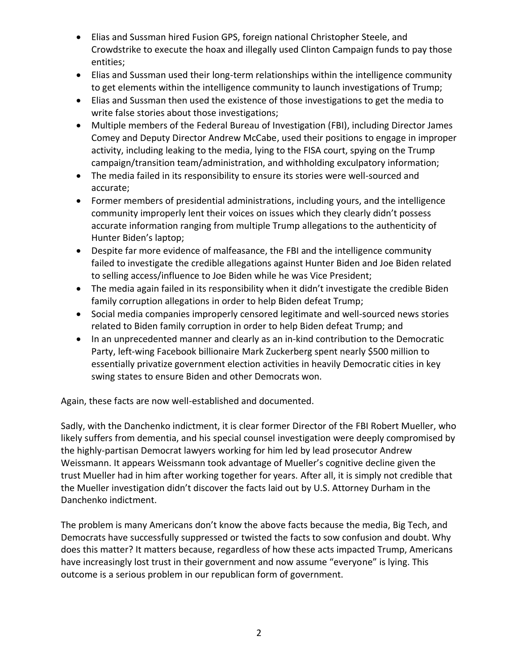- Elias and Sussman hired Fusion GPS, foreign national Christopher Steele, and Crowdstrike to execute the hoax and illegally used Clinton Campaign funds to pay those entities;
- Elias and Sussman used their long-term relationships within the intelligence community to get elements within the intelligence community to launch investigations of Trump;
- Elias and Sussman then used the existence of those investigations to get the media to write false stories about those investigations;
- Multiple members of the Federal Bureau of Investigation (FBI), including Director James Comey and Deputy Director Andrew McCabe, used their positions to engage in improper activity, including leaking to the media, lying to the FISA court, spying on the Trump campaign/transition team/administration, and withholding exculpatory information;
- The media failed in its responsibility to ensure its stories were well-sourced and accurate;
- Former members of presidential administrations, including yours, and the intelligence community improperly lent their voices on issues which they clearly didn't possess accurate information ranging from multiple Trump allegations to the authenticity of Hunter Biden's laptop;
- Despite far more evidence of malfeasance, the FBI and the intelligence community failed to investigate the credible allegations against Hunter Biden and Joe Biden related to selling access/influence to Joe Biden while he was Vice President;
- The media again failed in its responsibility when it didn't investigate the credible Biden family corruption allegations in order to help Biden defeat Trump;
- Social media companies improperly censored legitimate and well-sourced news stories related to Biden family corruption in order to help Biden defeat Trump; and
- In an unprecedented manner and clearly as an in-kind contribution to the Democratic Party, left-wing Facebook billionaire Mark Zuckerberg spent nearly \$500 million to essentially privatize government election activities in heavily Democratic cities in key swing states to ensure Biden and other Democrats won.

Again, these facts are now well-established and documented.

Sadly, with the Danchenko indictment, it is clear former Director of the FBI Robert Mueller, who likely suffers from dementia, and his special counsel investigation were deeply compromised by the highly-partisan Democrat lawyers working for him led by lead prosecutor Andrew Weissmann. It appears Weissmann took advantage of Mueller's cognitive decline given the trust Mueller had in him after working together for years. After all, it is simply not credible that the Mueller investigation didn't discover the facts laid out by U.S. Attorney Durham in the Danchenko indictment.

The problem is many Americans don't know the above facts because the media, Big Tech, and Democrats have successfully suppressed or twisted the facts to sow confusion and doubt. Why does this matter? It matters because, regardless of how these acts impacted Trump, Americans have increasingly lost trust in their government and now assume "everyone" is lying. This outcome is a serious problem in our republican form of government.